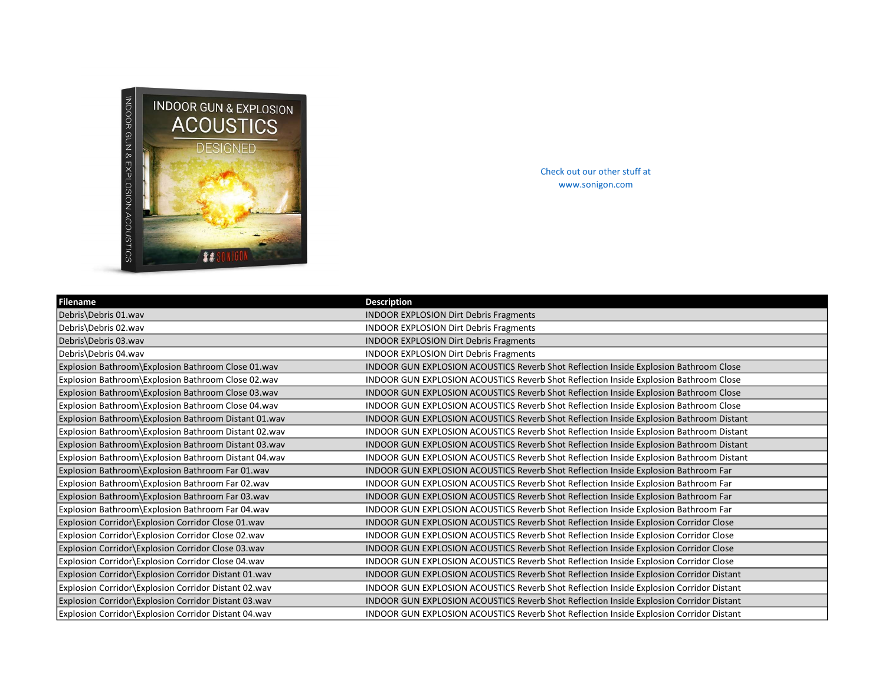

Check out our other stuff at www.sonigon.com

| Filename                                              | <b>Description</b>                                                                      |
|-------------------------------------------------------|-----------------------------------------------------------------------------------------|
| Debris\Debris 01.wav                                  | <b>INDOOR EXPLOSION Dirt Debris Fragments</b>                                           |
| Debris\Debris 02.wav                                  | <b>INDOOR EXPLOSION Dirt Debris Fragments</b>                                           |
| Debris\Debris 03.wav                                  | <b>INDOOR EXPLOSION Dirt Debris Fragments</b>                                           |
| Debris\Debris 04.wav                                  | <b>INDOOR EXPLOSION Dirt Debris Fragments</b>                                           |
| Explosion Bathroom\Explosion Bathroom Close 01.wav    | INDOOR GUN EXPLOSION ACOUSTICS Reverb Shot Reflection Inside Explosion Bathroom Close   |
| Explosion Bathroom\Explosion Bathroom Close 02.wav    | INDOOR GUN EXPLOSION ACOUSTICS Reverb Shot Reflection Inside Explosion Bathroom Close   |
| Explosion Bathroom\Explosion Bathroom Close 03.wav    | INDOOR GUN EXPLOSION ACOUSTICS Reverb Shot Reflection Inside Explosion Bathroom Close   |
| Explosion Bathroom\Explosion Bathroom Close 04.wav    | INDOOR GUN EXPLOSION ACOUSTICS Reverb Shot Reflection Inside Explosion Bathroom Close   |
| Explosion Bathroom\Explosion Bathroom Distant 01.wav  | INDOOR GUN EXPLOSION ACOUSTICS Reverb Shot Reflection Inside Explosion Bathroom Distant |
| Explosion Bathroom\Explosion Bathroom Distant 02.wav  | INDOOR GUN EXPLOSION ACOUSTICS Reverb Shot Reflection Inside Explosion Bathroom Distant |
| Explosion Bathroom\Explosion Bathroom Distant 03.wav  | INDOOR GUN EXPLOSION ACOUSTICS Reverb Shot Reflection Inside Explosion Bathroom Distant |
| Explosion Bathroom\Explosion Bathroom Distant 04.wav  | INDOOR GUN EXPLOSION ACOUSTICS Reverb Shot Reflection Inside Explosion Bathroom Distant |
| Explosion Bathroom\Explosion Bathroom Far 01.wav      | INDOOR GUN EXPLOSION ACOUSTICS Reverb Shot Reflection Inside Explosion Bathroom Far     |
| Explosion Bathroom\Explosion Bathroom Far 02.wav      | INDOOR GUN EXPLOSION ACOUSTICS Reverb Shot Reflection Inside Explosion Bathroom Far     |
| Explosion Bathroom\Explosion Bathroom Far 03.wav      | INDOOR GUN EXPLOSION ACOUSTICS Reverb Shot Reflection Inside Explosion Bathroom Far     |
| Explosion Bathroom\Explosion Bathroom Far 04.wav      | INDOOR GUN EXPLOSION ACOUSTICS Reverb Shot Reflection Inside Explosion Bathroom Far     |
| Explosion Corridor\Explosion Corridor Close 01.wav    | INDOOR GUN EXPLOSION ACOUSTICS Reverb Shot Reflection Inside Explosion Corridor Close   |
| Explosion Corridor\Explosion Corridor Close 02.wav    | INDOOR GUN EXPLOSION ACOUSTICS Reverb Shot Reflection Inside Explosion Corridor Close   |
| Explosion Corridor\Explosion Corridor Close 03.wav    | INDOOR GUN EXPLOSION ACOUSTICS Reverb Shot Reflection Inside Explosion Corridor Close   |
| Explosion Corridor Explosion Corridor Close 04.wav    | INDOOR GUN EXPLOSION ACOUSTICS Reverb Shot Reflection Inside Explosion Corridor Close   |
| Explosion Corridor\Explosion Corridor Distant 01.wav  | INDOOR GUN EXPLOSION ACOUSTICS Reverb Shot Reflection Inside Explosion Corridor Distant |
| Explosion Corridor\Explosion Corridor Distant 02.wav  | INDOOR GUN EXPLOSION ACOUSTICS Reverb Shot Reflection Inside Explosion Corridor Distant |
| Explosion Corridor\Explosion Corridor Distant 03.wav  | INDOOR GUN EXPLOSION ACOUSTICS Reverb Shot Reflection Inside Explosion Corridor Distant |
| Explosion Corridor \Explosion Corridor Distant 04.wav | INDOOR GUN EXPLOSION ACOUSTICS Reverb Shot Reflection Inside Explosion Corridor Distant |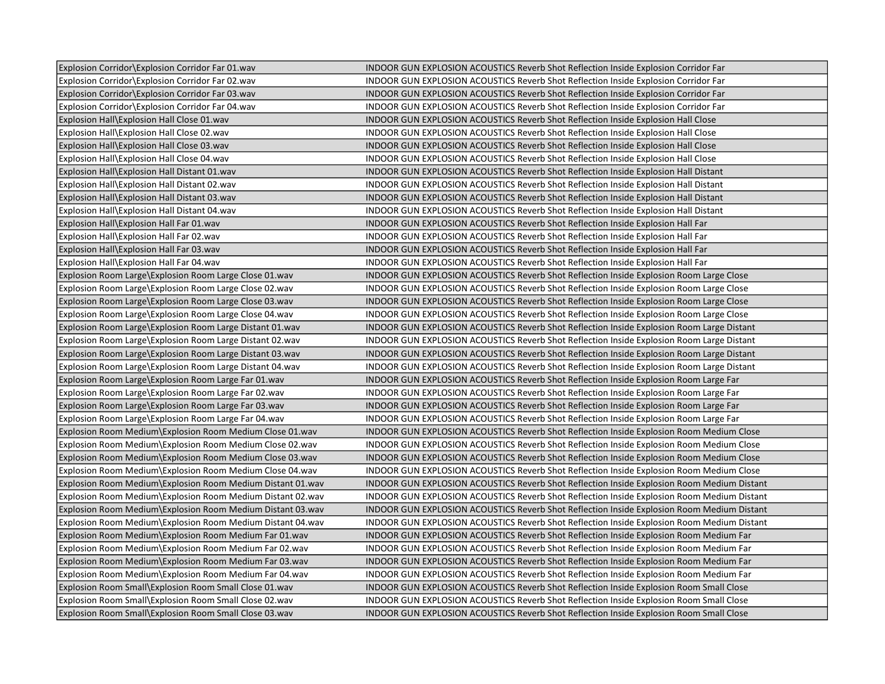| Explosion Corridor\Explosion Corridor Far 01.wav           | INDOOR GUN EXPLOSION ACOUSTICS Reverb Shot Reflection Inside Explosion Corridor Far            |
|------------------------------------------------------------|------------------------------------------------------------------------------------------------|
| Explosion Corridor Explosion Corridor Far 02.wav           | INDOOR GUN EXPLOSION ACOUSTICS Reverb Shot Reflection Inside Explosion Corridor Far            |
| Explosion Corridor Explosion Corridor Far 03.wav           | INDOOR GUN EXPLOSION ACOUSTICS Reverb Shot Reflection Inside Explosion Corridor Far            |
| Explosion Corridor Explosion Corridor Far 04.wav           | INDOOR GUN EXPLOSION ACOUSTICS Reverb Shot Reflection Inside Explosion Corridor Far            |
| Explosion Hall\Explosion Hall Close 01.wav                 | INDOOR GUN EXPLOSION ACOUSTICS Reverb Shot Reflection Inside Explosion Hall Close              |
| Explosion Hall\Explosion Hall Close 02.wav                 | INDOOR GUN EXPLOSION ACOUSTICS Reverb Shot Reflection Inside Explosion Hall Close              |
| Explosion Hall\Explosion Hall Close 03.wav                 | INDOOR GUN EXPLOSION ACOUSTICS Reverb Shot Reflection Inside Explosion Hall Close              |
| Explosion Hall\Explosion Hall Close 04.wav                 | INDOOR GUN EXPLOSION ACOUSTICS Reverb Shot Reflection Inside Explosion Hall Close              |
| Explosion Hall\Explosion Hall Distant 01.wav               | INDOOR GUN EXPLOSION ACOUSTICS Reverb Shot Reflection Inside Explosion Hall Distant            |
| Explosion Hall\Explosion Hall Distant 02.wav               | INDOOR GUN EXPLOSION ACOUSTICS Reverb Shot Reflection Inside Explosion Hall Distant            |
| Explosion Hall\Explosion Hall Distant 03.wav               | INDOOR GUN EXPLOSION ACOUSTICS Reverb Shot Reflection Inside Explosion Hall Distant            |
| Explosion Hall\Explosion Hall Distant 04.wav               | <b>INDOOR GUN EXPLOSION ACOUSTICS Reverb Shot Reflection Inside Explosion Hall Distant</b>     |
| Explosion Hall\Explosion Hall Far 01.wav                   | INDOOR GUN EXPLOSION ACOUSTICS Reverb Shot Reflection Inside Explosion Hall Far                |
| Explosion Hall\Explosion Hall Far 02.wav                   | INDOOR GUN EXPLOSION ACOUSTICS Reverb Shot Reflection Inside Explosion Hall Far                |
| Explosion Hall\Explosion Hall Far 03.wav                   | INDOOR GUN EXPLOSION ACOUSTICS Reverb Shot Reflection Inside Explosion Hall Far                |
| Explosion Hall\Explosion Hall Far 04.wav                   | INDOOR GUN EXPLOSION ACOUSTICS Reverb Shot Reflection Inside Explosion Hall Far                |
| Explosion Room Large\Explosion Room Large Close 01.wav     | INDOOR GUN EXPLOSION ACOUSTICS Reverb Shot Reflection Inside Explosion Room Large Close        |
| Explosion Room Large\Explosion Room Large Close 02.wav     | INDOOR GUN EXPLOSION ACOUSTICS Reverb Shot Reflection Inside Explosion Room Large Close        |
| Explosion Room Large\Explosion Room Large Close 03.wav     | INDOOR GUN EXPLOSION ACOUSTICS Reverb Shot Reflection Inside Explosion Room Large Close        |
| Explosion Room Large\Explosion Room Large Close 04.wav     | INDOOR GUN EXPLOSION ACOUSTICS Reverb Shot Reflection Inside Explosion Room Large Close        |
| Explosion Room Large\Explosion Room Large Distant 01.wav   | INDOOR GUN EXPLOSION ACOUSTICS Reverb Shot Reflection Inside Explosion Room Large Distant      |
| Explosion Room Large\Explosion Room Large Distant 02.wav   | INDOOR GUN EXPLOSION ACOUSTICS Reverb Shot Reflection Inside Explosion Room Large Distant      |
| Explosion Room Large\Explosion Room Large Distant 03.wav   | INDOOR GUN EXPLOSION ACOUSTICS Reverb Shot Reflection Inside Explosion Room Large Distant      |
| Explosion Room Large\Explosion Room Large Distant 04.wav   | INDOOR GUN EXPLOSION ACOUSTICS Reverb Shot Reflection Inside Explosion Room Large Distant      |
| Explosion Room Large\Explosion Room Large Far 01.wav       | INDOOR GUN EXPLOSION ACOUSTICS Reverb Shot Reflection Inside Explosion Room Large Far          |
| Explosion Room Large\Explosion Room Large Far 02.wav       | INDOOR GUN EXPLOSION ACOUSTICS Reverb Shot Reflection Inside Explosion Room Large Far          |
| Explosion Room Large\Explosion Room Large Far 03.wav       | INDOOR GUN EXPLOSION ACOUSTICS Reverb Shot Reflection Inside Explosion Room Large Far          |
| Explosion Room Large\Explosion Room Large Far 04.wav       | INDOOR GUN EXPLOSION ACOUSTICS Reverb Shot Reflection Inside Explosion Room Large Far          |
| Explosion Room Medium\Explosion Room Medium Close 01.wav   | INDOOR GUN EXPLOSION ACOUSTICS Reverb Shot Reflection Inside Explosion Room Medium Close       |
| Explosion Room Medium\Explosion Room Medium Close 02.wav   | INDOOR GUN EXPLOSION ACOUSTICS Reverb Shot Reflection Inside Explosion Room Medium Close       |
| Explosion Room Medium\Explosion Room Medium Close 03.wav   | INDOOR GUN EXPLOSION ACOUSTICS Reverb Shot Reflection Inside Explosion Room Medium Close       |
| Explosion Room Medium\Explosion Room Medium Close 04.wav   | INDOOR GUN EXPLOSION ACOUSTICS Reverb Shot Reflection Inside Explosion Room Medium Close       |
| Explosion Room Medium\Explosion Room Medium Distant 01.wav | INDOOR GUN EXPLOSION ACOUSTICS Reverb Shot Reflection Inside Explosion Room Medium Distant     |
| Explosion Room Medium\Explosion Room Medium Distant 02.wav | INDOOR GUN EXPLOSION ACOUSTICS Reverb Shot Reflection Inside Explosion Room Medium Distant     |
| Explosion Room Medium\Explosion Room Medium Distant 03.wav | INDOOR GUN EXPLOSION ACOUSTICS Reverb Shot Reflection Inside Explosion Room Medium Distant     |
| Explosion Room Medium\Explosion Room Medium Distant 04.wav | INDOOR GUN EXPLOSION ACOUSTICS Reverb Shot Reflection Inside Explosion Room Medium Distant     |
| Explosion Room Medium\Explosion Room Medium Far 01.wav     | INDOOR GUN EXPLOSION ACOUSTICS Reverb Shot Reflection Inside Explosion Room Medium Far         |
| Explosion Room Medium\Explosion Room Medium Far 02.wav     | INDOOR GUN EXPLOSION ACOUSTICS Reverb Shot Reflection Inside Explosion Room Medium Far         |
| Explosion Room Medium\Explosion Room Medium Far 03.wav     | INDOOR GUN EXPLOSION ACOUSTICS Reverb Shot Reflection Inside Explosion Room Medium Far         |
| Explosion Room Medium\Explosion Room Medium Far 04.wav     | INDOOR GUN EXPLOSION ACOUSTICS Reverb Shot Reflection Inside Explosion Room Medium Far         |
| Explosion Room Small\Explosion Room Small Close 01.wav     | INDOOR GUN EXPLOSION ACOUSTICS Reverb Shot Reflection Inside Explosion Room Small Close        |
| Explosion Room Small\Explosion Room Small Close 02.wav     | INDOOR GUN EXPLOSION ACOUSTICS Reverb Shot Reflection Inside Explosion Room Small Close        |
| Explosion Room Small\Explosion Room Small Close 03.wav     | <b>INDOOR GUN EXPLOSION ACOUSTICS Reverb Shot Reflection Inside Explosion Room Small Close</b> |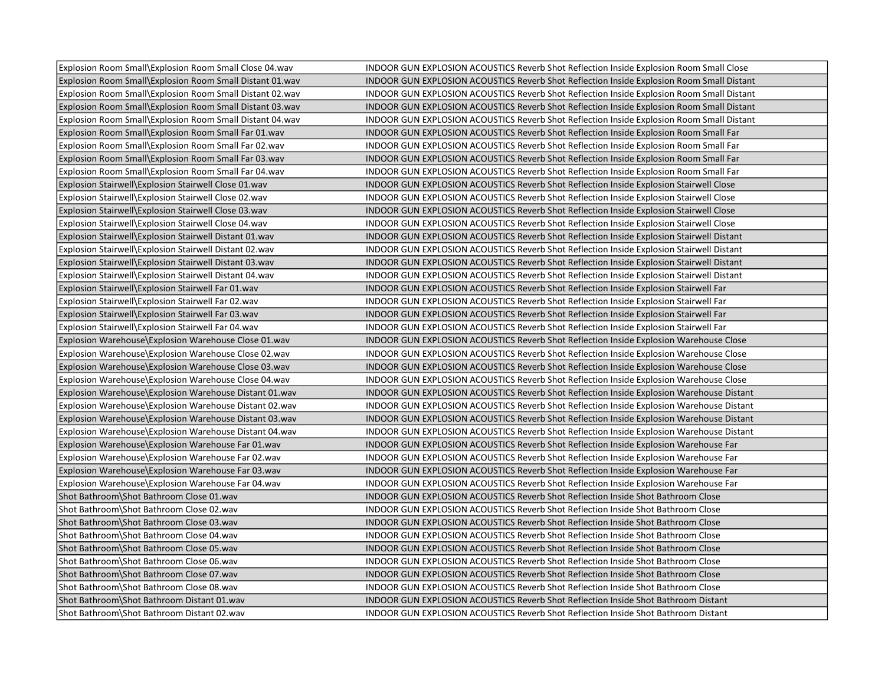| Explosion Room Small\Explosion Room Small Close 04.wav   | INDOOR GUN EXPLOSION ACOUSTICS Reverb Shot Reflection Inside Explosion Room Small Close          |
|----------------------------------------------------------|--------------------------------------------------------------------------------------------------|
| Explosion Room Small\Explosion Room Small Distant 01.wav | <b>INDOOR GUN EXPLOSION ACOUSTICS Reverb Shot Reflection Inside Explosion Room Small Distant</b> |
| Explosion Room Small\Explosion Room Small Distant 02.wav | INDOOR GUN EXPLOSION ACOUSTICS Reverb Shot Reflection Inside Explosion Room Small Distant        |
| Explosion Room Small\Explosion Room Small Distant 03.wav | INDOOR GUN EXPLOSION ACOUSTICS Reverb Shot Reflection Inside Explosion Room Small Distant        |
| Explosion Room Small\Explosion Room Small Distant 04.wav | INDOOR GUN EXPLOSION ACOUSTICS Reverb Shot Reflection Inside Explosion Room Small Distant        |
| Explosion Room Small\Explosion Room Small Far 01.wav     | INDOOR GUN EXPLOSION ACOUSTICS Reverb Shot Reflection Inside Explosion Room Small Far            |
| Explosion Room Small\Explosion Room Small Far 02.wav     | INDOOR GUN EXPLOSION ACOUSTICS Reverb Shot Reflection Inside Explosion Room Small Far            |
| Explosion Room Small\Explosion Room Small Far 03.wav     | INDOOR GUN EXPLOSION ACOUSTICS Reverb Shot Reflection Inside Explosion Room Small Far            |
| Explosion Room Small\Explosion Room Small Far 04.wav     | INDOOR GUN EXPLOSION ACOUSTICS Reverb Shot Reflection Inside Explosion Room Small Far            |
| Explosion Stairwell\Explosion Stairwell Close 01.wav     | <b>INDOOR GUN EXPLOSION ACOUSTICS Reverb Shot Reflection Inside Explosion Stairwell Close</b>    |
| Explosion Stairwell\Explosion Stairwell Close 02.wav     | INDOOR GUN EXPLOSION ACOUSTICS Reverb Shot Reflection Inside Explosion Stairwell Close           |
| Explosion Stairwell\Explosion Stairwell Close 03.wav     | INDOOR GUN EXPLOSION ACOUSTICS Reverb Shot Reflection Inside Explosion Stairwell Close           |
| Explosion Stairwell\Explosion Stairwell Close 04.wav     | INDOOR GUN EXPLOSION ACOUSTICS Reverb Shot Reflection Inside Explosion Stairwell Close           |
| Explosion Stairwell\Explosion Stairwell Distant 01.wav   | INDOOR GUN EXPLOSION ACOUSTICS Reverb Shot Reflection Inside Explosion Stairwell Distant         |
| Explosion Stairwell\Explosion Stairwell Distant 02.wav   | INDOOR GUN EXPLOSION ACOUSTICS Reverb Shot Reflection Inside Explosion Stairwell Distant         |
| Explosion Stairwell\Explosion Stairwell Distant 03.wav   | INDOOR GUN EXPLOSION ACOUSTICS Reverb Shot Reflection Inside Explosion Stairwell Distant         |
| Explosion Stairwell\Explosion Stairwell Distant 04.wav   | INDOOR GUN EXPLOSION ACOUSTICS Reverb Shot Reflection Inside Explosion Stairwell Distant         |
| Explosion Stairwell\Explosion Stairwell Far 01.wav       | INDOOR GUN EXPLOSION ACOUSTICS Reverb Shot Reflection Inside Explosion Stairwell Far             |
| Explosion Stairwell\Explosion Stairwell Far 02.wav       | INDOOR GUN EXPLOSION ACOUSTICS Reverb Shot Reflection Inside Explosion Stairwell Far             |
| Explosion Stairwell\Explosion Stairwell Far 03.wav       | INDOOR GUN EXPLOSION ACOUSTICS Reverb Shot Reflection Inside Explosion Stairwell Far             |
| Explosion Stairwell\Explosion Stairwell Far 04.wav       | INDOOR GUN EXPLOSION ACOUSTICS Reverb Shot Reflection Inside Explosion Stairwell Far             |
| Explosion Warehouse Explosion Warehouse Close 01. wav    | INDOOR GUN EXPLOSION ACOUSTICS Reverb Shot Reflection Inside Explosion Warehouse Close           |
| Explosion Warehouse\Explosion Warehouse Close 02.wav     | INDOOR GUN EXPLOSION ACOUSTICS Reverb Shot Reflection Inside Explosion Warehouse Close           |
| Explosion Warehouse\Explosion Warehouse Close 03.wav     | INDOOR GUN EXPLOSION ACOUSTICS Reverb Shot Reflection Inside Explosion Warehouse Close           |
| Explosion Warehouse\Explosion Warehouse Close 04.wav     | INDOOR GUN EXPLOSION ACOUSTICS Reverb Shot Reflection Inside Explosion Warehouse Close           |
| Explosion Warehouse Explosion Warehouse Distant 01. wav  | INDOOR GUN EXPLOSION ACOUSTICS Reverb Shot Reflection Inside Explosion Warehouse Distant         |
| Explosion Warehouse Explosion Warehouse Distant 02.wav   | INDOOR GUN EXPLOSION ACOUSTICS Reverb Shot Reflection Inside Explosion Warehouse Distant         |
| Explosion Warehouse Explosion Warehouse Distant 03.wav   | INDOOR GUN EXPLOSION ACOUSTICS Reverb Shot Reflection Inside Explosion Warehouse Distant         |
| Explosion Warehouse Explosion Warehouse Distant 04. way  | INDOOR GUN EXPLOSION ACOUSTICS Reverb Shot Reflection Inside Explosion Warehouse Distant         |
| Explosion Warehouse\Explosion Warehouse Far 01.wav       | INDOOR GUN EXPLOSION ACOUSTICS Reverb Shot Reflection Inside Explosion Warehouse Far             |
| Explosion Warehouse\Explosion Warehouse Far 02.wav       | INDOOR GUN EXPLOSION ACOUSTICS Reverb Shot Reflection Inside Explosion Warehouse Far             |
| Explosion Warehouse\Explosion Warehouse Far 03.wav       | INDOOR GUN EXPLOSION ACOUSTICS Reverb Shot Reflection Inside Explosion Warehouse Far             |
| Explosion Warehouse Explosion Warehouse Far 04. wav      | INDOOR GUN EXPLOSION ACOUSTICS Reverb Shot Reflection Inside Explosion Warehouse Far             |
| Shot Bathroom\Shot Bathroom Close 01.wav                 | INDOOR GUN EXPLOSION ACOUSTICS Reverb Shot Reflection Inside Shot Bathroom Close                 |
| Shot Bathroom\Shot Bathroom Close 02.wav                 | INDOOR GUN EXPLOSION ACOUSTICS Reverb Shot Reflection Inside Shot Bathroom Close                 |
| Shot Bathroom\Shot Bathroom Close 03.wav                 | INDOOR GUN EXPLOSION ACOUSTICS Reverb Shot Reflection Inside Shot Bathroom Close                 |
| Shot Bathroom\Shot Bathroom Close 04.wav                 | INDOOR GUN EXPLOSION ACOUSTICS Reverb Shot Reflection Inside Shot Bathroom Close                 |
| Shot Bathroom\Shot Bathroom Close 05.wav                 | INDOOR GUN EXPLOSION ACOUSTICS Reverb Shot Reflection Inside Shot Bathroom Close                 |
| Shot Bathroom\Shot Bathroom Close 06.wav                 | INDOOR GUN EXPLOSION ACOUSTICS Reverb Shot Reflection Inside Shot Bathroom Close                 |
| Shot Bathroom\Shot Bathroom Close 07.wav                 | INDOOR GUN EXPLOSION ACOUSTICS Reverb Shot Reflection Inside Shot Bathroom Close                 |
| Shot Bathroom\Shot Bathroom Close 08.wav                 | INDOOR GUN EXPLOSION ACOUSTICS Reverb Shot Reflection Inside Shot Bathroom Close                 |
| Shot Bathroom\Shot Bathroom Distant 01.wav               | <b>INDOOR GUN EXPLOSION ACOUSTICS Reverb Shot Reflection Inside Shot Bathroom Distant</b>        |
| Shot Bathroom\Shot Bathroom Distant 02.wav               | INDOOR GUN EXPLOSION ACOUSTICS Reverb Shot Reflection Inside Shot Bathroom Distant               |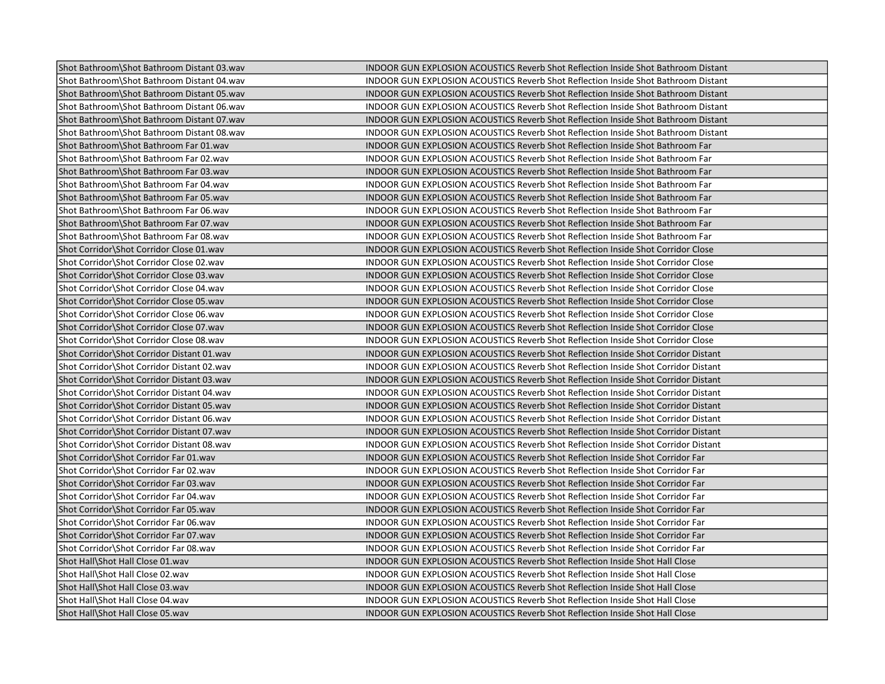| Shot Bathroom\Shot Bathroom Distant 03.wav | INDOOR GUN EXPLOSION ACOUSTICS Reverb Shot Reflection Inside Shot Bathroom Distant        |
|--------------------------------------------|-------------------------------------------------------------------------------------------|
| Shot Bathroom\Shot Bathroom Distant 04.wav | INDOOR GUN EXPLOSION ACOUSTICS Reverb Shot Reflection Inside Shot Bathroom Distant        |
| Shot Bathroom\Shot Bathroom Distant 05.wav | INDOOR GUN EXPLOSION ACOUSTICS Reverb Shot Reflection Inside Shot Bathroom Distant        |
| Shot Bathroom\Shot Bathroom Distant 06.wav | INDOOR GUN EXPLOSION ACOUSTICS Reverb Shot Reflection Inside Shot Bathroom Distant        |
| Shot Bathroom\Shot Bathroom Distant 07.wav | INDOOR GUN EXPLOSION ACOUSTICS Reverb Shot Reflection Inside Shot Bathroom Distant        |
| Shot Bathroom\Shot Bathroom Distant 08.wav | INDOOR GUN EXPLOSION ACOUSTICS Reverb Shot Reflection Inside Shot Bathroom Distant        |
| Shot Bathroom\Shot Bathroom Far 01.wav     | INDOOR GUN EXPLOSION ACOUSTICS Reverb Shot Reflection Inside Shot Bathroom Far            |
| Shot Bathroom\Shot Bathroom Far 02.wav     | INDOOR GUN EXPLOSION ACOUSTICS Reverb Shot Reflection Inside Shot Bathroom Far            |
| Shot Bathroom\Shot Bathroom Far 03.wav     | INDOOR GUN EXPLOSION ACOUSTICS Reverb Shot Reflection Inside Shot Bathroom Far            |
| Shot Bathroom\Shot Bathroom Far 04.wav     | INDOOR GUN EXPLOSION ACOUSTICS Reverb Shot Reflection Inside Shot Bathroom Far            |
| Shot Bathroom\Shot Bathroom Far 05.wav     | INDOOR GUN EXPLOSION ACOUSTICS Reverb Shot Reflection Inside Shot Bathroom Far            |
| Shot Bathroom\Shot Bathroom Far 06.wav     | INDOOR GUN EXPLOSION ACOUSTICS Reverb Shot Reflection Inside Shot Bathroom Far            |
| Shot Bathroom\Shot Bathroom Far 07.wav     | INDOOR GUN EXPLOSION ACOUSTICS Reverb Shot Reflection Inside Shot Bathroom Far            |
| Shot Bathroom\Shot Bathroom Far 08.wav     | INDOOR GUN EXPLOSION ACOUSTICS Reverb Shot Reflection Inside Shot Bathroom Far            |
| Shot Corridor\Shot Corridor Close 01.wav   | INDOOR GUN EXPLOSION ACOUSTICS Reverb Shot Reflection Inside Shot Corridor Close          |
| Shot Corridor\Shot Corridor Close 02.wav   | INDOOR GUN EXPLOSION ACOUSTICS Reverb Shot Reflection Inside Shot Corridor Close          |
| Shot Corridor\Shot Corridor Close 03.wav   | INDOOR GUN EXPLOSION ACOUSTICS Reverb Shot Reflection Inside Shot Corridor Close          |
| Shot Corridor\Shot Corridor Close 04.wav   | INDOOR GUN EXPLOSION ACOUSTICS Reverb Shot Reflection Inside Shot Corridor Close          |
| Shot Corridor\Shot Corridor Close 05.wav   | INDOOR GUN EXPLOSION ACOUSTICS Reverb Shot Reflection Inside Shot Corridor Close          |
| Shot Corridor\Shot Corridor Close 06.wav   | INDOOR GUN EXPLOSION ACOUSTICS Reverb Shot Reflection Inside Shot Corridor Close          |
| Shot Corridor\Shot Corridor Close 07.wav   | INDOOR GUN EXPLOSION ACOUSTICS Reverb Shot Reflection Inside Shot Corridor Close          |
| Shot Corridor\Shot Corridor Close 08.wav   | INDOOR GUN EXPLOSION ACOUSTICS Reverb Shot Reflection Inside Shot Corridor Close          |
| Shot Corridor\Shot Corridor Distant 01.wav | <b>INDOOR GUN EXPLOSION ACOUSTICS Reverb Shot Reflection Inside Shot Corridor Distant</b> |
| Shot Corridor\Shot Corridor Distant 02.wav | <b>INDOOR GUN EXPLOSION ACOUSTICS Reverb Shot Reflection Inside Shot Corridor Distant</b> |
| Shot Corridor\Shot Corridor Distant 03.wav | INDOOR GUN EXPLOSION ACOUSTICS Reverb Shot Reflection Inside Shot Corridor Distant        |
| Shot Corridor\Shot Corridor Distant 04.wav | INDOOR GUN EXPLOSION ACOUSTICS Reverb Shot Reflection Inside Shot Corridor Distant        |
| Shot Corridor\Shot Corridor Distant 05.wav | <b>INDOOR GUN EXPLOSION ACOUSTICS Reverb Shot Reflection Inside Shot Corridor Distant</b> |
| Shot Corridor\Shot Corridor Distant 06.wav | INDOOR GUN EXPLOSION ACOUSTICS Reverb Shot Reflection Inside Shot Corridor Distant        |
| Shot Corridor\Shot Corridor Distant 07.wav | <b>INDOOR GUN EXPLOSION ACOUSTICS Reverb Shot Reflection Inside Shot Corridor Distant</b> |
| Shot Corridor\Shot Corridor Distant 08.wav | INDOOR GUN EXPLOSION ACOUSTICS Reverb Shot Reflection Inside Shot Corridor Distant        |
| Shot Corridor\Shot Corridor Far 01.wav     | INDOOR GUN EXPLOSION ACOUSTICS Reverb Shot Reflection Inside Shot Corridor Far            |
| Shot Corridor\Shot Corridor Far 02.wav     | INDOOR GUN EXPLOSION ACOUSTICS Reverb Shot Reflection Inside Shot Corridor Far            |
| Shot Corridor\Shot Corridor Far 03.wav     | INDOOR GUN EXPLOSION ACOUSTICS Reverb Shot Reflection Inside Shot Corridor Far            |
| Shot Corridor\Shot Corridor Far 04.wav     | INDOOR GUN EXPLOSION ACOUSTICS Reverb Shot Reflection Inside Shot Corridor Far            |
| Shot Corridor\Shot Corridor Far 05.wav     | INDOOR GUN EXPLOSION ACOUSTICS Reverb Shot Reflection Inside Shot Corridor Far            |
| Shot Corridor Shot Corridor Far 06.wav     | INDOOR GUN EXPLOSION ACOUSTICS Reverb Shot Reflection Inside Shot Corridor Far            |
| Shot Corridor\Shot Corridor Far 07.wav     | INDOOR GUN EXPLOSION ACOUSTICS Reverb Shot Reflection Inside Shot Corridor Far            |
| Shot Corridor\Shot Corridor Far 08.wav     | INDOOR GUN EXPLOSION ACOUSTICS Reverb Shot Reflection Inside Shot Corridor Far            |
| Shot Hall\Shot Hall Close 01.wav           | INDOOR GUN EXPLOSION ACOUSTICS Reverb Shot Reflection Inside Shot Hall Close              |
| Shot Hall\Shot Hall Close 02.wav           | INDOOR GUN EXPLOSION ACOUSTICS Reverb Shot Reflection Inside Shot Hall Close              |
| Shot Hall\Shot Hall Close 03.wav           | INDOOR GUN EXPLOSION ACOUSTICS Reverb Shot Reflection Inside Shot Hall Close              |
| Shot Hall\Shot Hall Close 04.wav           | INDOOR GUN EXPLOSION ACOUSTICS Reverb Shot Reflection Inside Shot Hall Close              |
| Shot Hall\Shot Hall Close 05.wav           | <b>INDOOR GUN EXPLOSION ACOUSTICS Reverb Shot Reflection Inside Shot Hall Close</b>       |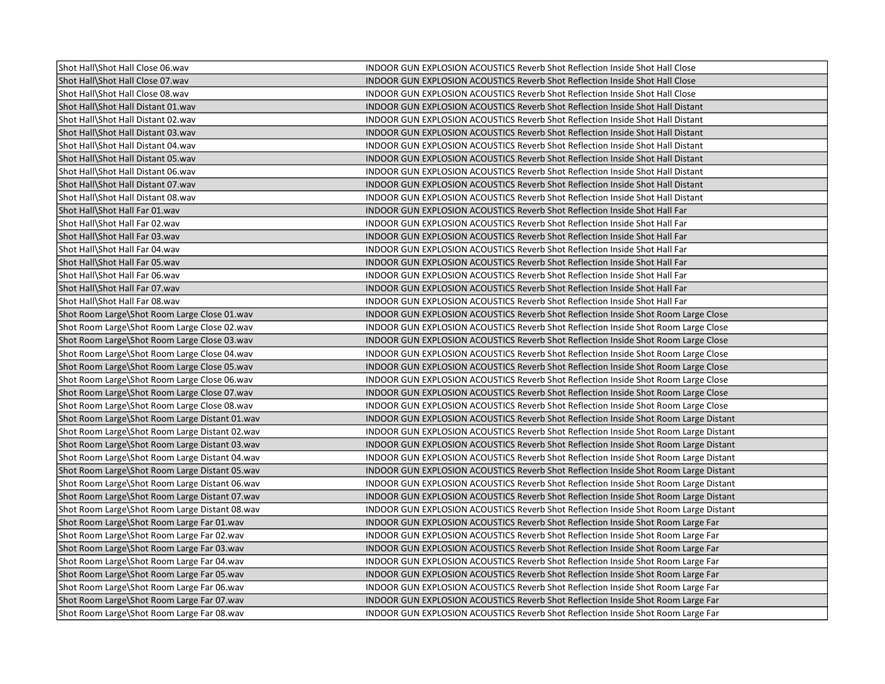| Shot Hall\Shot Hall Close 06.wav               | INDOOR GUN EXPLOSION ACOUSTICS Reverb Shot Reflection Inside Shot Hall Close          |
|------------------------------------------------|---------------------------------------------------------------------------------------|
| Shot Hall\Shot Hall Close 07.wav               | INDOOR GUN EXPLOSION ACOUSTICS Reverb Shot Reflection Inside Shot Hall Close          |
| Shot Hall\Shot Hall Close 08.wav               | INDOOR GUN EXPLOSION ACOUSTICS Reverb Shot Reflection Inside Shot Hall Close          |
| Shot Hall\Shot Hall Distant 01.wav             | <b>INDOOR GUN EXPLOSION ACOUSTICS Reverb Shot Reflection Inside Shot Hall Distant</b> |
| Shot Hall\Shot Hall Distant 02.wav             | INDOOR GUN EXPLOSION ACOUSTICS Reverb Shot Reflection Inside Shot Hall Distant        |
| Shot Hall\Shot Hall Distant 03.wav             | INDOOR GUN EXPLOSION ACOUSTICS Reverb Shot Reflection Inside Shot Hall Distant        |
| Shot Hall\Shot Hall Distant 04.wav             | INDOOR GUN EXPLOSION ACOUSTICS Reverb Shot Reflection Inside Shot Hall Distant        |
| Shot Hall\Shot Hall Distant 05.wav             | INDOOR GUN EXPLOSION ACOUSTICS Reverb Shot Reflection Inside Shot Hall Distant        |
| Shot Hall\Shot Hall Distant 06.wav             | INDOOR GUN EXPLOSION ACOUSTICS Reverb Shot Reflection Inside Shot Hall Distant        |
| Shot Hall\Shot Hall Distant 07.wav             | INDOOR GUN EXPLOSION ACOUSTICS Reverb Shot Reflection Inside Shot Hall Distant        |
| Shot Hall\Shot Hall Distant 08.wav             | INDOOR GUN EXPLOSION ACOUSTICS Reverb Shot Reflection Inside Shot Hall Distant        |
| Shot Hall\Shot Hall Far 01.wav                 | INDOOR GUN EXPLOSION ACOUSTICS Reverb Shot Reflection Inside Shot Hall Far            |
| Shot Hall\Shot Hall Far 02.wav                 | INDOOR GUN EXPLOSION ACOUSTICS Reverb Shot Reflection Inside Shot Hall Far            |
| Shot Hall\Shot Hall Far 03.wav                 | INDOOR GUN EXPLOSION ACOUSTICS Reverb Shot Reflection Inside Shot Hall Far            |
| Shot Hall\Shot Hall Far 04.wav                 | INDOOR GUN EXPLOSION ACOUSTICS Reverb Shot Reflection Inside Shot Hall Far            |
| Shot Hall\Shot Hall Far 05.wav                 | INDOOR GUN EXPLOSION ACOUSTICS Reverb Shot Reflection Inside Shot Hall Far            |
| Shot Hall\Shot Hall Far 06.wav                 | INDOOR GUN EXPLOSION ACOUSTICS Reverb Shot Reflection Inside Shot Hall Far            |
| Shot Hall\Shot Hall Far 07.wav                 | INDOOR GUN EXPLOSION ACOUSTICS Reverb Shot Reflection Inside Shot Hall Far            |
| Shot Hall\Shot Hall Far 08.wav                 | INDOOR GUN EXPLOSION ACOUSTICS Reverb Shot Reflection Inside Shot Hall Far            |
| Shot Room Large\Shot Room Large Close 01.wav   | INDOOR GUN EXPLOSION ACOUSTICS Reverb Shot Reflection Inside Shot Room Large Close    |
| Shot Room Large\Shot Room Large Close 02.wav   | INDOOR GUN EXPLOSION ACOUSTICS Reverb Shot Reflection Inside Shot Room Large Close    |
| Shot Room Large\Shot Room Large Close 03.wav   | INDOOR GUN EXPLOSION ACOUSTICS Reverb Shot Reflection Inside Shot Room Large Close    |
| Shot Room Large\Shot Room Large Close 04.wav   | INDOOR GUN EXPLOSION ACOUSTICS Reverb Shot Reflection Inside Shot Room Large Close    |
| Shot Room Large\Shot Room Large Close 05.wav   | INDOOR GUN EXPLOSION ACOUSTICS Reverb Shot Reflection Inside Shot Room Large Close    |
| Shot Room Large\Shot Room Large Close 06.wav   | INDOOR GUN EXPLOSION ACOUSTICS Reverb Shot Reflection Inside Shot Room Large Close    |
| Shot Room Large\Shot Room Large Close 07.wav   | INDOOR GUN EXPLOSION ACOUSTICS Reverb Shot Reflection Inside Shot Room Large Close    |
| Shot Room Large\Shot Room Large Close 08.wav   | INDOOR GUN EXPLOSION ACOUSTICS Reverb Shot Reflection Inside Shot Room Large Close    |
| Shot Room Large\Shot Room Large Distant 01.wav | INDOOR GUN EXPLOSION ACOUSTICS Reverb Shot Reflection Inside Shot Room Large Distant  |
| Shot Room Large\Shot Room Large Distant 02.wav | INDOOR GUN EXPLOSION ACOUSTICS Reverb Shot Reflection Inside Shot Room Large Distant  |
| Shot Room Large\Shot Room Large Distant 03.wav | INDOOR GUN EXPLOSION ACOUSTICS Reverb Shot Reflection Inside Shot Room Large Distant  |
| Shot Room Large\Shot Room Large Distant 04.wav | INDOOR GUN EXPLOSION ACOUSTICS Reverb Shot Reflection Inside Shot Room Large Distant  |
| Shot Room Large\Shot Room Large Distant 05.wav | INDOOR GUN EXPLOSION ACOUSTICS Reverb Shot Reflection Inside Shot Room Large Distant  |
| Shot Room Large\Shot Room Large Distant 06.wav | INDOOR GUN EXPLOSION ACOUSTICS Reverb Shot Reflection Inside Shot Room Large Distant  |
| Shot Room Large\Shot Room Large Distant 07.wav | INDOOR GUN EXPLOSION ACOUSTICS Reverb Shot Reflection Inside Shot Room Large Distant  |
| Shot Room Large\Shot Room Large Distant 08.wav | INDOOR GUN EXPLOSION ACOUSTICS Reverb Shot Reflection Inside Shot Room Large Distant  |
| Shot Room Large\Shot Room Large Far 01.wav     | INDOOR GUN EXPLOSION ACOUSTICS Reverb Shot Reflection Inside Shot Room Large Far      |
| Shot Room Large\Shot Room Large Far 02.wav     | INDOOR GUN EXPLOSION ACOUSTICS Reverb Shot Reflection Inside Shot Room Large Far      |
| Shot Room Large\Shot Room Large Far 03.wav     | INDOOR GUN EXPLOSION ACOUSTICS Reverb Shot Reflection Inside Shot Room Large Far      |
| Shot Room Large\Shot Room Large Far 04.wav     | INDOOR GUN EXPLOSION ACOUSTICS Reverb Shot Reflection Inside Shot Room Large Far      |
| Shot Room Large\Shot Room Large Far 05.wav     | INDOOR GUN EXPLOSION ACOUSTICS Reverb Shot Reflection Inside Shot Room Large Far      |
| Shot Room Large\Shot Room Large Far 06.wav     | INDOOR GUN EXPLOSION ACOUSTICS Reverb Shot Reflection Inside Shot Room Large Far      |
| Shot Room Large\Shot Room Large Far 07.wav     | INDOOR GUN EXPLOSION ACOUSTICS Reverb Shot Reflection Inside Shot Room Large Far      |
| Shot Room Large\Shot Room Large Far 08.wav     | INDOOR GUN EXPLOSION ACOUSTICS Reverb Shot Reflection Inside Shot Room Large Far      |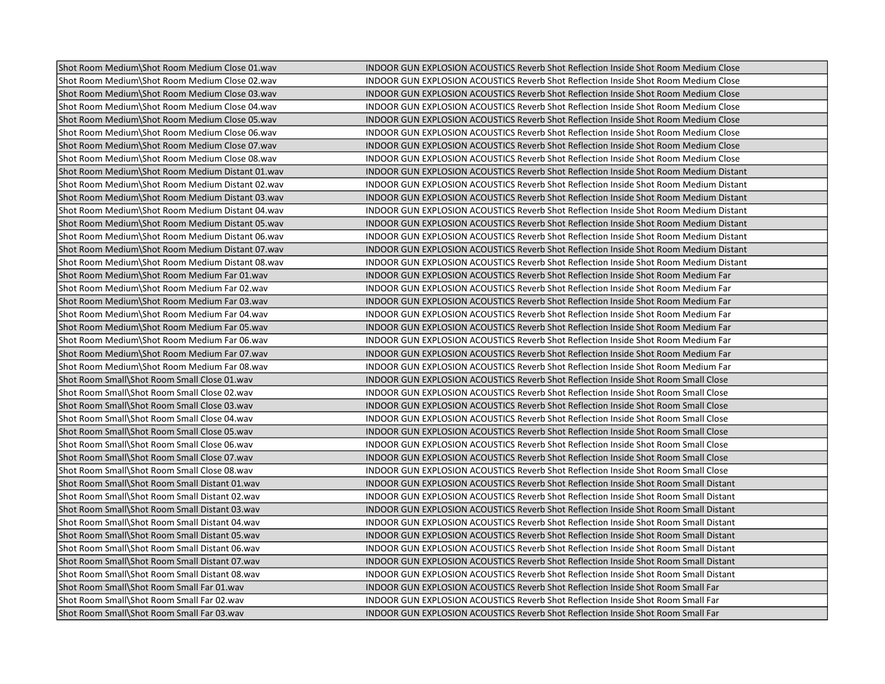| Shot Room Medium\Shot Room Medium Close 01.wav   | INDOOR GUN EXPLOSION ACOUSTICS Reverb Shot Reflection Inside Shot Room Medium Close        |
|--------------------------------------------------|--------------------------------------------------------------------------------------------|
| Shot Room Medium\Shot Room Medium Close 02.wav   | INDOOR GUN EXPLOSION ACOUSTICS Reverb Shot Reflection Inside Shot Room Medium Close        |
| Shot Room Medium\Shot Room Medium Close 03.wav   | <b>INDOOR GUN EXPLOSION ACOUSTICS Reverb Shot Reflection Inside Shot Room Medium Close</b> |
| Shot Room Medium\Shot Room Medium Close 04.wav   | INDOOR GUN EXPLOSION ACOUSTICS Reverb Shot Reflection Inside Shot Room Medium Close        |
| Shot Room Medium\Shot Room Medium Close 05.wav   | INDOOR GUN EXPLOSION ACOUSTICS Reverb Shot Reflection Inside Shot Room Medium Close        |
| Shot Room Medium\Shot Room Medium Close 06.wav   | INDOOR GUN EXPLOSION ACOUSTICS Reverb Shot Reflection Inside Shot Room Medium Close        |
| Shot Room Medium\Shot Room Medium Close 07.wav   | INDOOR GUN EXPLOSION ACOUSTICS Reverb Shot Reflection Inside Shot Room Medium Close        |
| Shot Room Medium\Shot Room Medium Close 08.wav   | INDOOR GUN EXPLOSION ACOUSTICS Reverb Shot Reflection Inside Shot Room Medium Close        |
| Shot Room Medium\Shot Room Medium Distant 01.wav | INDOOR GUN EXPLOSION ACOUSTICS Reverb Shot Reflection Inside Shot Room Medium Distant      |
| Shot Room Medium\Shot Room Medium Distant 02.wav | INDOOR GUN EXPLOSION ACOUSTICS Reverb Shot Reflection Inside Shot Room Medium Distant      |
| Shot Room Medium\Shot Room Medium Distant 03.wav | INDOOR GUN EXPLOSION ACOUSTICS Reverb Shot Reflection Inside Shot Room Medium Distant      |
| Shot Room Medium\Shot Room Medium Distant 04.wav | INDOOR GUN EXPLOSION ACOUSTICS Reverb Shot Reflection Inside Shot Room Medium Distant      |
| Shot Room Medium\Shot Room Medium Distant 05.wav | INDOOR GUN EXPLOSION ACOUSTICS Reverb Shot Reflection Inside Shot Room Medium Distant      |
| Shot Room Medium\Shot Room Medium Distant 06.wav | INDOOR GUN EXPLOSION ACOUSTICS Reverb Shot Reflection Inside Shot Room Medium Distant      |
| Shot Room Medium\Shot Room Medium Distant 07.wav | INDOOR GUN EXPLOSION ACOUSTICS Reverb Shot Reflection Inside Shot Room Medium Distant      |
| Shot Room Medium\Shot Room Medium Distant 08.wav | INDOOR GUN EXPLOSION ACOUSTICS Reverb Shot Reflection Inside Shot Room Medium Distant      |
| Shot Room Medium\Shot Room Medium Far 01.wav     | INDOOR GUN EXPLOSION ACOUSTICS Reverb Shot Reflection Inside Shot Room Medium Far          |
| Shot Room Medium\Shot Room Medium Far 02.wav     | INDOOR GUN EXPLOSION ACOUSTICS Reverb Shot Reflection Inside Shot Room Medium Far          |
| Shot Room Medium\Shot Room Medium Far 03.wav     | INDOOR GUN EXPLOSION ACOUSTICS Reverb Shot Reflection Inside Shot Room Medium Far          |
| Shot Room Medium\Shot Room Medium Far 04.wav     | INDOOR GUN EXPLOSION ACOUSTICS Reverb Shot Reflection Inside Shot Room Medium Far          |
| Shot Room Medium\Shot Room Medium Far 05.wav     | INDOOR GUN EXPLOSION ACOUSTICS Reverb Shot Reflection Inside Shot Room Medium Far          |
| Shot Room Medium\Shot Room Medium Far 06.wav     | INDOOR GUN EXPLOSION ACOUSTICS Reverb Shot Reflection Inside Shot Room Medium Far          |
| Shot Room Medium\Shot Room Medium Far 07.wav     | INDOOR GUN EXPLOSION ACOUSTICS Reverb Shot Reflection Inside Shot Room Medium Far          |
| Shot Room Medium\Shot Room Medium Far 08.wav     | INDOOR GUN EXPLOSION ACOUSTICS Reverb Shot Reflection Inside Shot Room Medium Far          |
| Shot Room Small\Shot Room Small Close 01.wav     | INDOOR GUN EXPLOSION ACOUSTICS Reverb Shot Reflection Inside Shot Room Small Close         |
| Shot Room Small\Shot Room Small Close 02.wav     | INDOOR GUN EXPLOSION ACOUSTICS Reverb Shot Reflection Inside Shot Room Small Close         |
| Shot Room Small\Shot Room Small Close 03.wav     | INDOOR GUN EXPLOSION ACOUSTICS Reverb Shot Reflection Inside Shot Room Small Close         |
| Shot Room Small\Shot Room Small Close 04.wav     | INDOOR GUN EXPLOSION ACOUSTICS Reverb Shot Reflection Inside Shot Room Small Close         |
| Shot Room Small\Shot Room Small Close 05.wav     | INDOOR GUN EXPLOSION ACOUSTICS Reverb Shot Reflection Inside Shot Room Small Close         |
| Shot Room Small\Shot Room Small Close 06.wav     | INDOOR GUN EXPLOSION ACOUSTICS Reverb Shot Reflection Inside Shot Room Small Close         |
| Shot Room Small\Shot Room Small Close 07.wav     | INDOOR GUN EXPLOSION ACOUSTICS Reverb Shot Reflection Inside Shot Room Small Close         |
| Shot Room Small\Shot Room Small Close 08.wav     | INDOOR GUN EXPLOSION ACOUSTICS Reverb Shot Reflection Inside Shot Room Small Close         |
| Shot Room Small\Shot Room Small Distant 01.wav   | INDOOR GUN EXPLOSION ACOUSTICS Reverb Shot Reflection Inside Shot Room Small Distant       |
| Shot Room Small\Shot Room Small Distant 02.wav   | INDOOR GUN EXPLOSION ACOUSTICS Reverb Shot Reflection Inside Shot Room Small Distant       |
| Shot Room Small\Shot Room Small Distant 03.wav   | INDOOR GUN EXPLOSION ACOUSTICS Reverb Shot Reflection Inside Shot Room Small Distant       |
| Shot Room Small\Shot Room Small Distant 04.wav   | INDOOR GUN EXPLOSION ACOUSTICS Reverb Shot Reflection Inside Shot Room Small Distant       |
| Shot Room Small\Shot Room Small Distant 05.wav   | INDOOR GUN EXPLOSION ACOUSTICS Reverb Shot Reflection Inside Shot Room Small Distant       |
| Shot Room Small\Shot Room Small Distant 06.wav   | INDOOR GUN EXPLOSION ACOUSTICS Reverb Shot Reflection Inside Shot Room Small Distant       |
| Shot Room Small\Shot Room Small Distant 07.wav   | INDOOR GUN EXPLOSION ACOUSTICS Reverb Shot Reflection Inside Shot Room Small Distant       |
| Shot Room Small\Shot Room Small Distant 08.wav   | INDOOR GUN EXPLOSION ACOUSTICS Reverb Shot Reflection Inside Shot Room Small Distant       |
| Shot Room Small\Shot Room Small Far 01.wav       | INDOOR GUN EXPLOSION ACOUSTICS Reverb Shot Reflection Inside Shot Room Small Far           |
| Shot Room Small\Shot Room Small Far 02.wav       | INDOOR GUN EXPLOSION ACOUSTICS Reverb Shot Reflection Inside Shot Room Small Far           |
| Shot Room Small\Shot Room Small Far 03.wav       | INDOOR GUN EXPLOSION ACOUSTICS Reverb Shot Reflection Inside Shot Room Small Far           |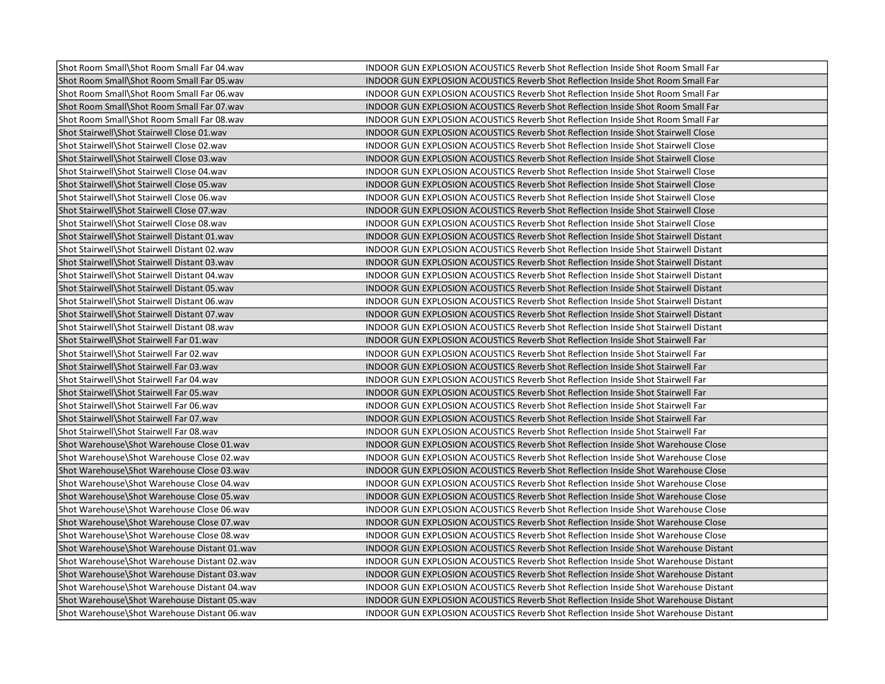| Shot Room Small\Shot Room Small Far 04.wav   | INDOOR GUN EXPLOSION ACOUSTICS Reverb Shot Reflection Inside Shot Room Small Far           |
|----------------------------------------------|--------------------------------------------------------------------------------------------|
| Shot Room Small\Shot Room Small Far 05.wav   | INDOOR GUN EXPLOSION ACOUSTICS Reverb Shot Reflection Inside Shot Room Small Far           |
| Shot Room Small\Shot Room Small Far 06.wav   | INDOOR GUN EXPLOSION ACOUSTICS Reverb Shot Reflection Inside Shot Room Small Far           |
| Shot Room Small\Shot Room Small Far 07.wav   | INDOOR GUN EXPLOSION ACOUSTICS Reverb Shot Reflection Inside Shot Room Small Far           |
| Shot Room Small\Shot Room Small Far 08.wav   | INDOOR GUN EXPLOSION ACOUSTICS Reverb Shot Reflection Inside Shot Room Small Far           |
| Shot Stairwell\Shot Stairwell Close 01.wav   | INDOOR GUN EXPLOSION ACOUSTICS Reverb Shot Reflection Inside Shot Stairwell Close          |
| Shot Stairwell\Shot Stairwell Close 02.wav   | INDOOR GUN EXPLOSION ACOUSTICS Reverb Shot Reflection Inside Shot Stairwell Close          |
| Shot Stairwell\Shot Stairwell Close 03.wav   | INDOOR GUN EXPLOSION ACOUSTICS Reverb Shot Reflection Inside Shot Stairwell Close          |
| Shot Stairwell\Shot Stairwell Close 04.wav   | INDOOR GUN EXPLOSION ACOUSTICS Reverb Shot Reflection Inside Shot Stairwell Close          |
| Shot Stairwell\Shot Stairwell Close 05.wav   | INDOOR GUN EXPLOSION ACOUSTICS Reverb Shot Reflection Inside Shot Stairwell Close          |
| Shot Stairwell\Shot Stairwell Close 06.wav   | INDOOR GUN EXPLOSION ACOUSTICS Reverb Shot Reflection Inside Shot Stairwell Close          |
| Shot Stairwell\Shot Stairwell Close 07.wav   | INDOOR GUN EXPLOSION ACOUSTICS Reverb Shot Reflection Inside Shot Stairwell Close          |
| Shot Stairwell\Shot Stairwell Close 08.wav   | INDOOR GUN EXPLOSION ACOUSTICS Reverb Shot Reflection Inside Shot Stairwell Close          |
| Shot Stairwell\Shot Stairwell Distant 01.wav | <b>INDOOR GUN EXPLOSION ACOUSTICS Reverb Shot Reflection Inside Shot Stairwell Distant</b> |
| Shot Stairwell\Shot Stairwell Distant 02.wav | INDOOR GUN EXPLOSION ACOUSTICS Reverb Shot Reflection Inside Shot Stairwell Distant        |
| Shot Stairwell\Shot Stairwell Distant 03.wav | INDOOR GUN EXPLOSION ACOUSTICS Reverb Shot Reflection Inside Shot Stairwell Distant        |
| Shot Stairwell\Shot Stairwell Distant 04.wav | INDOOR GUN EXPLOSION ACOUSTICS Reverb Shot Reflection Inside Shot Stairwell Distant        |
| Shot Stairwell\Shot Stairwell Distant 05.wav | <b>INDOOR GUN EXPLOSION ACOUSTICS Reverb Shot Reflection Inside Shot Stairwell Distant</b> |
| Shot Stairwell\Shot Stairwell Distant 06.wav | INDOOR GUN EXPLOSION ACOUSTICS Reverb Shot Reflection Inside Shot Stairwell Distant        |
| Shot Stairwell\Shot Stairwell Distant 07.wav | INDOOR GUN EXPLOSION ACOUSTICS Reverb Shot Reflection Inside Shot Stairwell Distant        |
| Shot Stairwell\Shot Stairwell Distant 08.wav | INDOOR GUN EXPLOSION ACOUSTICS Reverb Shot Reflection Inside Shot Stairwell Distant        |
| Shot Stairwell\Shot Stairwell Far 01.wav     | INDOOR GUN EXPLOSION ACOUSTICS Reverb Shot Reflection Inside Shot Stairwell Far            |
| Shot Stairwell\Shot Stairwell Far 02.wav     | INDOOR GUN EXPLOSION ACOUSTICS Reverb Shot Reflection Inside Shot Stairwell Far            |
| Shot Stairwell\Shot Stairwell Far 03.wav     | INDOOR GUN EXPLOSION ACOUSTICS Reverb Shot Reflection Inside Shot Stairwell Far            |
| Shot Stairwell\Shot Stairwell Far 04.wav     | INDOOR GUN EXPLOSION ACOUSTICS Reverb Shot Reflection Inside Shot Stairwell Far            |
| Shot Stairwell\Shot Stairwell Far 05.wav     | INDOOR GUN EXPLOSION ACOUSTICS Reverb Shot Reflection Inside Shot Stairwell Far            |
| Shot Stairwell\Shot Stairwell Far 06.wav     | INDOOR GUN EXPLOSION ACOUSTICS Reverb Shot Reflection Inside Shot Stairwell Far            |
| Shot Stairwell\Shot Stairwell Far 07.wav     | INDOOR GUN EXPLOSION ACOUSTICS Reverb Shot Reflection Inside Shot Stairwell Far            |
| Shot Stairwell\Shot Stairwell Far 08.wav     | INDOOR GUN EXPLOSION ACOUSTICS Reverb Shot Reflection Inside Shot Stairwell Far            |
| Shot Warehouse\Shot Warehouse Close 01.wav   | INDOOR GUN EXPLOSION ACOUSTICS Reverb Shot Reflection Inside Shot Warehouse Close          |
| Shot Warehouse\Shot Warehouse Close 02.wav   | INDOOR GUN EXPLOSION ACOUSTICS Reverb Shot Reflection Inside Shot Warehouse Close          |
| Shot Warehouse\Shot Warehouse Close 03.wav   | INDOOR GUN EXPLOSION ACOUSTICS Reverb Shot Reflection Inside Shot Warehouse Close          |
| Shot Warehouse\Shot Warehouse Close 04.wav   | INDOOR GUN EXPLOSION ACOUSTICS Reverb Shot Reflection Inside Shot Warehouse Close          |
| Shot Warehouse\Shot Warehouse Close 05.wav   | INDOOR GUN EXPLOSION ACOUSTICS Reverb Shot Reflection Inside Shot Warehouse Close          |
| Shot Warehouse\Shot Warehouse Close 06.wav   | INDOOR GUN EXPLOSION ACOUSTICS Reverb Shot Reflection Inside Shot Warehouse Close          |
| Shot Warehouse\Shot Warehouse Close 07.wav   | INDOOR GUN EXPLOSION ACOUSTICS Reverb Shot Reflection Inside Shot Warehouse Close          |
| Shot Warehouse\Shot Warehouse Close 08.wav   | INDOOR GUN EXPLOSION ACOUSTICS Reverb Shot Reflection Inside Shot Warehouse Close          |
| Shot Warehouse\Shot Warehouse Distant 01.wav | INDOOR GUN EXPLOSION ACOUSTICS Reverb Shot Reflection Inside Shot Warehouse Distant        |
| Shot Warehouse\Shot Warehouse Distant 02.wav | INDOOR GUN EXPLOSION ACOUSTICS Reverb Shot Reflection Inside Shot Warehouse Distant        |
| Shot Warehouse\Shot Warehouse Distant 03.wav | INDOOR GUN EXPLOSION ACOUSTICS Reverb Shot Reflection Inside Shot Warehouse Distant        |
| Shot Warehouse\Shot Warehouse Distant 04.wav | INDOOR GUN EXPLOSION ACOUSTICS Reverb Shot Reflection Inside Shot Warehouse Distant        |
| Shot Warehouse\Shot Warehouse Distant 05.wav | INDOOR GUN EXPLOSION ACOUSTICS Reverb Shot Reflection Inside Shot Warehouse Distant        |
| Shot Warehouse\Shot Warehouse Distant 06.wav | <b>INDOOR GUN EXPLOSION ACOUSTICS Reverb Shot Reflection Inside Shot Warehouse Distant</b> |